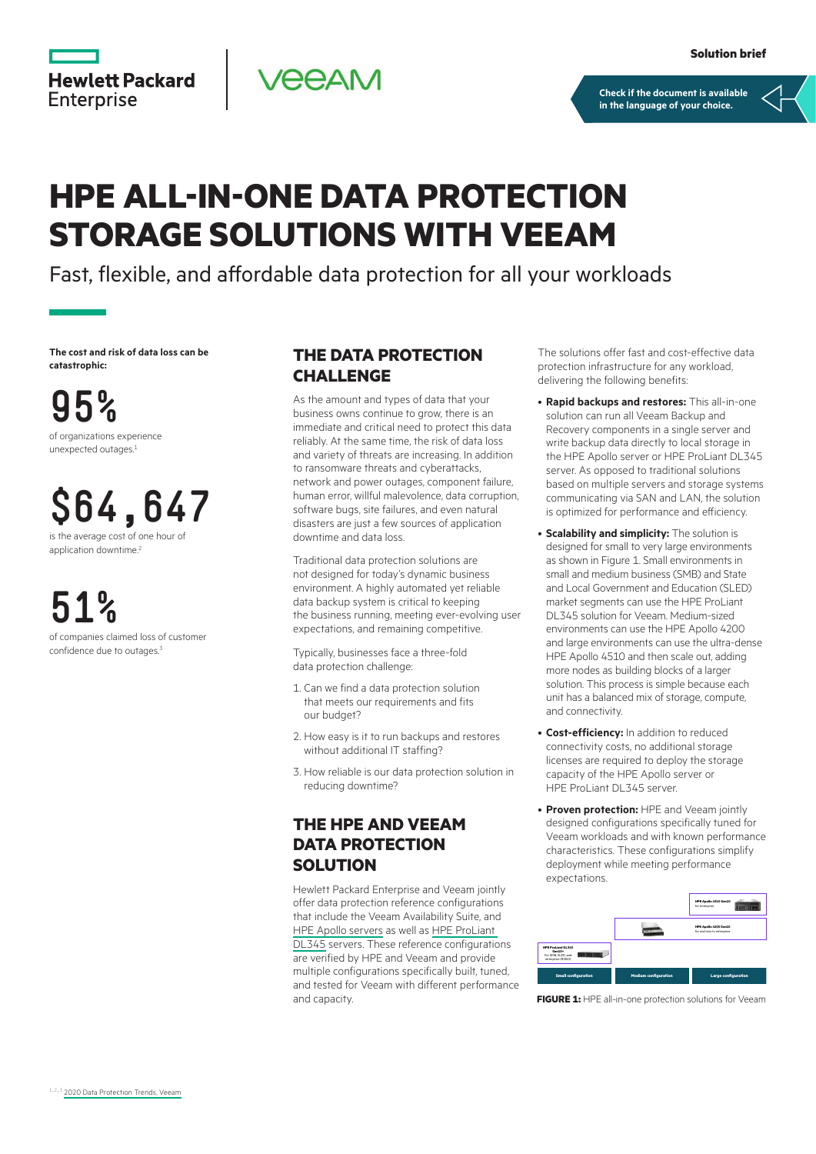**[Check if the document is available](https://www.hpe.com/psnow/collection-resources/a00060398ENW)  in the language of your choice.**

# **HPE ALL-IN-ONE DATA PROTECTION STORAGE SOLUTIONS WITH VEEAM**

**PEAM** 

Fast, flexible, and affordable data protection for all your workloads

**The cost and risk of data loss can be catastrophic:**

**Hewlett Packard** 

**Enterprise** 

**95%** of organizations experience unexpected outages.1

**\$64,647** is the average cost of one hour of

application downtime.<sup>2</sup>

**51%** of companies claimed loss of customer confidence due to outages.<sup>3</sup>

#### **THE DATA PROTECTION CHALLENGE**

As the amount and types of data that your business owns continue to grow, there is an immediate and critical need to protect this data reliably. At the same time, the risk of data loss and variety of threats are increasing. In addition to ransomware threats and cyberattacks, network and power outages, component failure, human error, willful malevolence, data corruption, software bugs, site failures, and even natural disasters are just a few sources of application downtime and data loss.

Traditional data protection solutions are not designed for today's dynamic business environment. A highly automated yet reliable data backup system is critical to keeping the business running, meeting ever-evolving user expectations, and remaining competitive.

Typically, businesses face a three-fold data protection challenge:

- 1. Can we find a data protection solution that meets our requirements and fits our budget?
- 2. How easy is it to run backups and restores without additional IT staffing?
- 3. How reliable is our data protection solution in reducing downtime?

### **THE HPE AND VEEAM DATA PROTECTION SOLUTION**

Hewlett Packard Enterprise and Veeam jointly offer data protection reference configurations that include the Veeam Availability Suite, and [HPE Apollo servers](https://www.hpe.com/us/en/product-catalog/servers/apollo-systems.html) as well as [HPE ProLiant](https://buy.hpe.com/us/en/servers/proliant-dl-servers/proliant-dl300-servers/proliant-dl345/hpe-proliant-dl345-gen10-plus-server/p/1013291286)  [DL345](https://buy.hpe.com/us/en/servers/proliant-dl-servers/proliant-dl300-servers/proliant-dl345/hpe-proliant-dl345-gen10-plus-server/p/1013291286) servers. These reference configurations are verified by HPE and Veeam and provide multiple configurations specifically built, tuned, and tested for Veeam with different performance and capacity.

The solutions offer fast and cost-effective data protection infrastructure for any workload, delivering the following benefits:

- **Rapid backups and restores:** This all‑in‑one solution can run all Veeam Backup and Recovery components in a single server and write backup data directly to local storage in the HPE Apollo server or HPE ProLiant DL345 server. As opposed to traditional solutions based on multiple servers and storage systems communicating via SAN and LAN, the solution is optimized for performance and efficiency.
- **Scalability and simplicity:** The solution is designed for small to very large environments as shown in Figure 1. Small environments in small and medium business (SMB) and State and Local Government and Education (SLED) market segments can use the HPE ProLiant DL345 solution for Veeam. Medium-sized environments can use the HPE Apollo 4200 and large environments can use the ultra-dense HPE Apollo 4510 and then scale out, adding more nodes as building blocks of a larger solution. This process is simple because each unit has a balanced mix of storage, compute, and connectivity.
- **Cost-efficiency:** In addition to reduced connectivity costs, no additional storage licenses are required to deploy the storage capacity of the HPE Apollo server or HPE ProLiant DL345 server.
- **Proven protection:** HPE and Veeam jointly designed configurations specifically tuned for Veeam workloads and with known performance characteristics. These configurations simplify deployment while meeting performance expectations.



**FIGURE 1:** HPE all-in-one protection solutions for Veeam